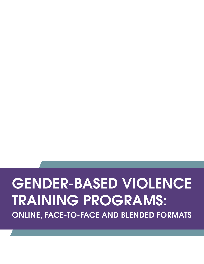# **GENDER-BASED VIOLENCE TRAINING PROGRAMS: ONLINE, FACE-TO-FACE AND BLENDED FORMATS**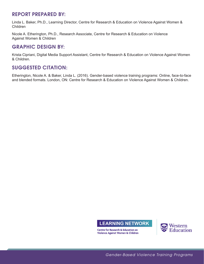# **REPORT PREPARED BY:**

Linda L. Baker, Ph.D., Learning Director, Centre for Research & Education on Violence Against Women & Children

Nicole A. Etherington, Ph.D., Research Associate, Centre for Research & Education on Violence Against Women & Children

# **GRAPHIC DESIGN BY:**

Krista Cipriani, Digital Media Support Assistant, Centre for Research & Education on Violence Against Women & Children.

# **SUGGESTED CITATION:**

Etherington, Nicole A. & Baker, Linda L. (2016). Gender-based violence training programs: Online, face-to-face and blended formats. London, ON: Centre for Research & Education on Violence Against Women & Children.



**Centre for Research & Education on** Violence Against Women & Children



*Gender-Based Violence Training Programs*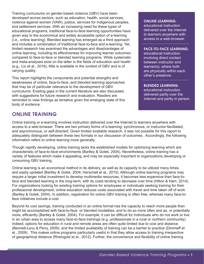Training curriculums on gender-based violence (GBV) have been developed across sectors, such as education, health, social services, violence against women (VAW), justice, services for indigenous peoples, and settlement services. With an increasing need for these types of educational programs, traditional face-to-face learning opportunities have given way to the economical and widely accessible option of e-learning (i.e., online learning). Blended learning has emerged as a third approach and includes a combination of traditional face-to-face and e-learning. Yet, limited research has examined the advantages and disadvantages of online learning, including its effectiveness for improving learner outcomes compared to face-to-face or blended learning programs. While systematic and meta-analyses exist on the latter in the fields of education and health (e.g., Liu et al., 2016), little is available in the context of GBV and is of varying quality.

This report highlights the components and potential strengths and weaknesses of online, face-to-face, and blended learning approaches that may be of particular relevance to the development of GBV curriculums. Existing gaps in the current literature are also discussed, with suggestions for future research and evaluation. Readers are reminded to view findings as tentative given the emerging state of this body of evidence.

#### **ONLINE LEARNING:**

educational instruction delivered over the Internet to learners anywhere with access to a web-browser.

#### **FACE-TO-FACE LEARNING:**

educational instruction involving direct contact between instructor and learner(s), where both are physically within each other's presence.

#### **BLENDED LEARNING:**

educational instruction delivered partly over the Internet and partly in person.

## **ONLINE TRAINING**

Online training or e-learning involves instruction delivered over the Internet to learners anywhere with access to a web-browser. There are two primary forms of e-learning: synchronous, or instructor-facilitated, and asynchronous, or self-directed. Given limited available research, it was not possible for this report to adequately distinguish between these two formats in our discussion of outcomes. Accordingly, the following information refers to online learning more generally.

Though rapidly developing, online training lacks the established models for optimizing learning which are characteristic of face-to-face environments (Bartley & Golek, 2004). Nevertheless, online training has a variety of features which make it appealing, and may be especially important to organizations developing or consuming GBV training.

Online learning is an economical method in its delivery, as well as its capacity to be utilized many times and easily updated (Bartley & Golek, 2004; Herschell et al., 2015). Although online learning programs may require a larger initial investment to develop multimedia resources, it becomes less expensive than face-toface and blended learning in the long-term, with its costs tending to decrease over time (Hilton & Ham, 2014). For organizations looking for existing training options for employees or individuals seeking training for their professional development, online education reduces costs associated with travel and time taken off of work (Bartley & Golek, 2004). In addition, registration for online GBV training is often free, whereas many face-toface initiatives include a cost.

Beyond its cost savings, training conducted in an online format has the capacity to reach more people than might be accomplished with face-to-face or blended modalities, and to do so more often and as, or potentially more, efficiently (Bartley & Golek, 2004). For example, it can be difficult for individuals who do not work or live in an urban area to access many face-to-face trainings (e.g. professionals in a rural or northern community). Indeed, options for education in rural and remote areas are often quite limited due to cost and distance (Bennett-Levy & Perry, 2009), and the limited availability of training can be a barrier to practice (Dimmeff et al., 2009). This makes online programs particularly useful in that they allow access to training irrespective of geographical distance (Rheingold et al., 2012). Further, the convenience and flexibility of online training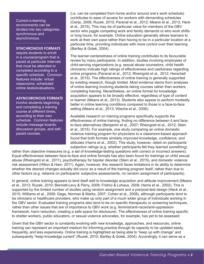Current e-learning environments can be divided into two categories: synchronous and asynchronous.

#### **SYNCHRONOUS FORMATS**

require students to enroll in a course/program that is paced at particular intervals that must be attended or completed according to a specific schedule. Common features include: virtual classrooms, scheduled online tests/evaluations.

#### **ASYNCHRONOUS FORMATS**

involve students beginning and completing a training course at different times, according to their own schedule. Common features include message boards, discussion groups, and selfpaced courses.

(i.e. can be completed from home and/or around one's work schedule) contributes to ease of access for workers with demanding schedules (Cerijo, 2006; Ruzek, 2010; Paranal et al., 2012; Means et al., 2013; Heck et al., 2015). This may be of particular value for members of the GBV sector who juggle competing work and family demands or who work shifts or long hours, for example. Online education generally allows learners to work at their own pace rather than having to be in a particular location at a particular time, providing individuals with more control over their learning (Bartley & Golek, 2004).

The learner-centeredness of online training contributes to its favourable review by many participants. In addition, studies involving employees of child-serving organizations (e.g. sexual abuse counselors, child health clinicians) indicate high ratings of effectiveness and usefulness regarding online programs (Paranal et al., 2012; Rheingold et al., 2012; Herschell et al., 2015). The effectiveness of online training is generally supported by existing research, though limited. Most evidence stems from analyses of online learning involving students taking courses rather than workers completing training. Nevertheless, an online format for knowledge acquisition appears to be broadly effective, regardless of type of content or learner (Means et al., 2013). Students also appear to perform modestly better in online learning conditions compared to those in a face-to-face setting (Means et al., 2013; Wiecha et al., 2006).

Available research on training programs specifically supports the effectiveness of online training, finding no difference between it and faceto-face alternatives (Benjamin et al., 2007; Rheingold et al., 2012; Stein et al., 2015). For example, one study comparing an online domestic violence training program for physicians to a classroom-based approach found that both formats similarly improved knowledge, confidence, and attitudes (Harris et al., 2002). This study, however, relied on participants' subjective ratings (e.g. whether participants felt they learned something)

rather than objective measures (e.g. a set of knowledge-testing questions with correct or incorrect answers). Equal effectiveness between face-to-face and online formats has also been found for trainings on child sexual abuse (Rheingold et al., 2011), psychotherapy for bipolar disorder (Stein et al., 2015), and domestic violence risk assessment (Hilton & Ham, 2011). Again, however, this research faces limitations in its ability to determine whether the desired changes actually did occur as a result of the training program itself, rather than due to other factors (e.g. reliance on participants' subjective assessments, no random assignment of participants).

In general, online training appears to lend itself well to knowledge acquisition and attitude improvement (Means et al., 2013; Ruzek, 2010; Bennett-Levy & Perry, 2009; Fridrici & Lohaus, 2008; Harris et al., 2002). This is supported by the limited number of studies using random assignment and a pre/post-test design (Heck et al., 2015; Williams et al., 2009; Gega, Norman & Marks, 2007; Cohen et al., 2006), although participants tend to be clinicians or healthcare providers, who make up only part of a much wider group of individuals working in the GBV sector. Evaluated training programs also tend to be on specific therapeutic or screening techniques, rather than other issues that are of importance to GBV work (e.g. feminist/anti-racist/anti-oppression framework, harm reduction, creating a safe space for disclosure). The effectiveness of online training specific to shelter workers, public educators, or sexual violence advocates, for example, has yet to be assessed.

Given that the GBV sector is constantly evolving with new knowledge, approaches, and resources, online training can represent an important medium for informing practice through its capacity to be updated easily, frequently, and less expensively. Online training is highlighted as being able to "keep up with change" and subsequently "keep knowledge current" (Ruzek, 2010; Bartley & Golek, 2004). Accordingly, it can serve as a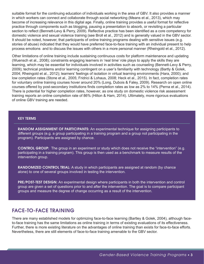suitable format for the continuing education of individuals working in the area of GBV. It also provides a manner in which workers can connect and collaborate through social networking (Means et al., 2013), which may become of increasing relevance in this digital age. Finally, online training provides a useful format for reflective practice through components such as blogging, pausing a presentation to absorb, or revisiting a particular section to reflect (Bennett-Levy & Perry, 2009). Reflective practice has been identified as a core competency for domestic violence and sexual violence training (see Broll et al., 2012) and is generally valued in the GBV sector. It should be noted, however, that participants of online training programs dealing with sensitive issues (e.g. stories of abuse) indicated that they would have preferred face-to-face training with an individual present to help process emotions and to discuss the issues with others in a more personal manner (Rheingold et al., 2012).

Other limitations of online training include sustaining continuous costs for platform maintenance and updating (Wuensch et al., 2008); constraints engaging learners in 'real time' role plays to apply the skills they are learning, which may be essential for individuals involved in activities such as counseling (Bennett-Levy & Perry, 2009); technical problems and/or learning contingent on a user's familiarity with technology (Bartly & Golek, 2004; Rheingold et al., 2012); learners' feelings of isolation in virtual learning environments (Hara, 2000); and low completion rates (Stone et al., 2005; Fridrici & Lohaus, 2008; Heck et al., 2015). In fact, completion rates for voluntary online training courses hover around 20% (Long, Dubois & Faley, 2009). Research on open online courses offered by post-secondary institutions finds completion rates as low as 2% to 14% (Perna et al., 2014). There is potential for higher completion rates, however, as one study on domestic violence risk assessment training reports an online completion rate of 86% (Hilton & Ham, 2014). Ultimately, more rigorous evaluations of online GBV training are needed.

#### **KEY TERMS**

**RANDOM ASSIGNMENT OF PARTICIPANTS:** An experimental technique for assigning participants to different groups (e.g. a group participating in a training program and a group not participating in the program). Participants are assigned by chance.

**CONTROL GROUP:** The group in an experiment or study which does not receive the "intervention" (e.g. participating in a training program). This group is then used as a benchmark to measure results of the intervention group.

**RANDOMIZED CONTROL TRIAL:** A study in which participants are assigned at random (by chance alone) to one of several groups involved in testing the intervention.

**PRE/POST-TEST DESIGN:** An experimental design where participants in both the intervention and control group are given a set of questions prior to and after the intervention. The goal is to compare participant groups and measure the degree of change occurring as a result of the intervention.

## **FACE-TO-FACE TRAINING**

There are many established models for optimizing face-to-face learning (Bartley & Golek, 2004), although faceto-face training has the same limitations as online training in terms of existing evaluations of its effectiveness. Further, there is more existing literature on the advantages of online training than exists for face-to-face efforts. Nevertheless, there are still elements of face-to-face training amenable to the GBV sector.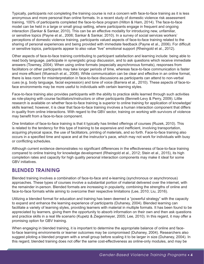Typically, participants not completing the training course is not a concern with face-to-face training as it is less anonymous and more personal than online formats. In a recent study of domestic violence risk assessment training, 100% of participants completed the face-to-face program (Hilton & Ham, 2014). The face-to-face model can be held in a large or small group setting, where participants engage in frequent and ongoing interaction (Sankar & Sankar, 2010). This can be an effective modality for introducing new, unfamiliar, or sensitive topics (Payne et al., 2006; Sankar & Sankar, 2010). In a survey of social services workers' perceptions of domestic violence training, participants valued aspects of face-to-face training related to the sharing of personal experiences and being provided with immediate feedback (Payne et al., 2006). For difficult or sensitive topics, participants appear to also value "live" emotional support (Rheingold et al., 2012).

Other aspects of face-to-face training contributing to participant satisfaction and learning include: being able to read body language, participate in synergistic group discussion, and to ask questions which receive immediate answers (Towmey, 2004). When using online formats (especially asynchronous formats), responses from facilitators or other participants may take longer periods of time, whereas face-to-face communication is faster and more efficient (Wuensch et al., 2008). While communication can be clear and effective in an online format, there is less room for misinterpretation in face-to-face discussions as participants can attend to non-verbal cues (e.g. body language, facial expression) and tone of voice (Barrera et al., 2010). These aspects of face-toface environments may be more useful to individuals with certain learning styles.

Face-to-face training also provides participants with the ability to practice skills learned through such activities as role-playing with course facilitators/instructors or other participants (Bennett-Levy & Perry, 2009). Little research is available on whether face-to-face training is superior to online training for application of knowledge/ skills learned; however, it is clear that face-to-face training involves a human interaction component that differs in quality from online interactions. With regard to the GBV sector, training on working with survivors of violence may benefit from a face-to-face component.

One limitation of face-to-face training is that it typically has limited offerings of courses (Ruzek, 2010). This is related to the tendency for this type of training to be expensive and inefficient, involving transportation, acquiring physical space, the use of facilitators, printing of materials, and so forth. Face-to-face training also occurs in a specified time and space and at the instructor's pace, which may not work for individuals with busy or conflicting schedules.

Although current evidence demonstrates no significant differences in the effectiveness of face-to-face training compared to online training for knowledge development (Rheingold et al., 2012; Stein et al., 2015), its high completion rates and capacity for high quality personal interaction components may make it ideal for some GBV initiatives.

# **BLENDED TRAINING**

Blended training involves a combination of face-to-face and e-learning (synchronous or asynchronous) approaches. These types of courses involve a substantial portion of material delivered over the internet, with the remainder in-person. Blended formats are increasing in popularity, combining the strengths of online and face-to-face formats while aiming to overcome their respective limitations (Lee, 2010; Liu, 2016).

Utilizing a blended format for education and training has been deemed a "powerful strategy" with the capacity to expand and enhance the learning experience of participants (Duhaney, 2004). Blended learning can facilitate a variety of learning styles, providing learners with material in multiple formats. It has been found to be appreciated by learners, giving them the opportunity to absorb information on their own and then ask questions and practice skills in a real life scenario (Kupetz & Ziegenmeyer, 2005; Lee, 2010). In this regard, it may offer a promising option for GBV training.

When engaging in blended training, it is important to determine the appropriate balance of online and faceto-face learning environments or learner outcomes may be compromised (Duhaney, 2004). Researchers also suggest piloting a blended program with a small group before scaling it to be larger in size (Duhaney, 2004). In this regard, blended training does not offer the same cost-effectiveness as online-only modules, and may be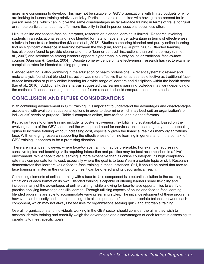more time consuming to develop. This may not be suitable for GBV organizations with limited budgets or who are looking to launch training relatively quickly. Participants are also tasked with having to be present for inperson sessions, which can involve the same disadvantages as face-to-face training in terms of travel for rural or remote participants, but may offer more flexibility in that in-person sessions occur less often.

Like its online and face-to-face counterparts, research on blended learning is limited. Research involving students in an educational setting finds blended formats to have a larger advantage in terms of effectiveness relative to face-to-face instruction (Means et al., 2013). Studies comparing blended and purely online learning find no significant difference in learning between the two (Lim, Morris & Kupritz, 2007). Blended learning has also been found to provide clearer and more "learner-centred" instructions than online delivery (Lim et al., 2007) and satisfaction among learners appears higher than in purely online or traditional face-to-face courses (Garrison & Kanuka, 2004). Despite some evidence of its effectiveness, research has yet to examine completion rates for blended training programs.

Blended learning is also promising in the education of health professions. A recent systematic review and meta-analysis found that blended instruction was more effective than or at least as effective as traditional faceto-face instruction or purely online learning for a wide range of learners and disciplines within the health sector (Liu et al., 2016). Additionally, this analysis suggested that learner's gain in knowledge may vary depending on the method of blended learning used, and that future research should compare blended methods.

# **CONCLUSION AND FUTURE CONSIDERATIONS**

With continuing advancement in GBV training, it is important to understand the advantages and disadvantages associated with available educational options in order to determine which may best suit an organization's or individuals' needs or purpose. Table 1 compares online, face-to-face, and blended formats.

Key advantages to online training include its cost-effectiveness, flexibility, and sustainability. Based on the evolving nature of the GBV sector and the widespread need for services, online learning may be an appealing option to increase training without increasing cost, especially given the financial realities many organizations face. With emerging research supporting the effectiveness of online learning in general and in the context of GBV training, it appears to be a promising direction.

There are instances, however, where face-to-face training may be preferable. For example, addressing sensitive topics and teaching skills requiring interaction and practice may be best accomplished in a "live" environment. While face-to-face learning is more expensive than its online counterpart, its high completion rate may compensate for its cost, especially where the goal is to teach/learn a certain topic or skill. Research demonstrates that learners value face-to-face training in these instances. Still, it should be noted that face-toface training is limited in the number of times it can be offered and its geographical reach.

Combining elements of online learning with a face-to-face component is a potential solution to the existing limitations of each format on its own. Blended training is capable of offering learners some flexibility and includes many of the advantages of online training, while allowing for face-to-face opportunities to clarify or practice applying knowledge or skills learned. Through utilizing aspects of online and face-to-face learning, blended programs are able to accommodate varying learning styles. The initial development of these programs, however, can be costly and time-consuming. It is also important to find the appropriate balance between each component, which may not always be feasible for organizations seeking quick and affordable training.

Overall, organizations and individuals working in the GBV sector should consider the aims they wish to accomplish with training and carefully weigh the advantages and disadvantages of each format in assessing its capability to meet specific goals.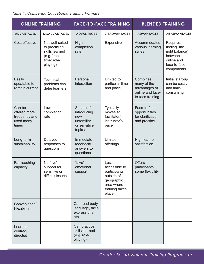### *Table 1. Comparing Educational Training Formats*

| <b>ONLINE TRAINING</b>                                         |                                                                                              | <b>FACE-TO-FACE TRAINING</b>                                                |                                                                                                            | <b>BLENDED TRAINING</b>                                                          |                                                                                                   |
|----------------------------------------------------------------|----------------------------------------------------------------------------------------------|-----------------------------------------------------------------------------|------------------------------------------------------------------------------------------------------------|----------------------------------------------------------------------------------|---------------------------------------------------------------------------------------------------|
| <b>ADVANTAGES</b>                                              | <b>DISADVANTAGES</b>                                                                         | <b>ADVANTAGES</b>                                                           | <b>DISADVANTAGES</b>                                                                                       | <b>ADVANTAGES</b>                                                                | <b>DISADVANTAGES</b>                                                                              |
| Cost effective                                                 | Not well-suited<br>to practicing<br>skills learned<br>(e.g. "real<br>time" role-<br>playing) | High<br>completion<br>rate                                                  | Expensive                                                                                                  | Accommodates<br>various learning<br>styles                                       | Requires<br>finding "the<br>right balance"<br>between<br>online and<br>face-to-face<br>components |
| Easily<br>updatable to<br>remain current                       | <b>Technical</b><br>problems can<br>deter learners                                           | Personal<br>interaction                                                     | Limited to<br>particular time<br>and place                                                                 | Combines<br>many of the<br>advantages of<br>online and face-<br>to-face training | Initial start-up<br>can be costly<br>and time-<br>consuming                                       |
| Can be<br>offered more<br>frequently and<br>used many<br>times | Low<br>completion<br>rate                                                                    | Suitable for<br>introducing<br>new,<br>unfamiliar<br>or sensitive<br>topics | <b>Typically</b><br>moves at<br>facilitator/<br>instructor's<br>pace                                       | Face-to-face<br>opportunities<br>for clarification<br>and practice               |                                                                                                   |
| Long-term<br>sustainability                                    | Delayed<br>responses to<br>questions                                                         | Immediate<br>feedback/<br>answers to<br>questions                           | Limited<br>offerings                                                                                       | High learner<br>satisfaction                                                     |                                                                                                   |
| Far-reaching<br>capacity                                       | No "live"<br>support for<br>sensitive or<br>difficult issues                                 | "Live"<br>emotional<br>support                                              | Less<br>accessible to<br>participants<br>outside of<br>geographic<br>area where<br>training takes<br>place | <b>Offers</b><br>participants<br>some flexibility                                |                                                                                                   |
| Convenience/<br>Flexibility                                    |                                                                                              | Can read body<br>language, facial<br>expressions,<br>etc.                   |                                                                                                            |                                                                                  |                                                                                                   |
| Learner-<br>centred/<br>directed                               |                                                                                              | Can practice<br>skills learned<br>(e.g. role-<br>playing)                   |                                                                                                            |                                                                                  |                                                                                                   |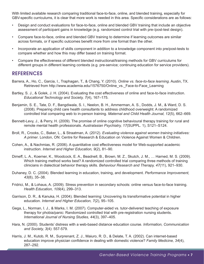With limited available research comparing traditional face-to-face, online, and blended training, especially for GBV-specific curriculums, it is clear that more work is needed in this area. Specific considerations are as follows:

- Design and conduct evaluations for face-to-face, online and blended GBV training that include an objective assessment of participant gains in knowledge (e.g. randomized control trial with pre-/post-test design).
- Compare face-to-face, online and blended GBV training to determine if learning outcomes are similar across formats, or if specific outcomes benefit more from one format than the other.
- Incorporate an application of skills component in addition to a knowledge component into pre/post-tests to compare whether and how this may differ based on training format.
- Compare the effectiveness of different blended instructional/training methods for GBV curriculums for different groups in different learning contexts (e.g. pre-service; continuing education for service providers).

## **REFERENCES**

- Barrera, A., Ho, C., Garcia, I., Traphagan, T., & Chang, Y. (2010). *Online vs. face-to-face learning*. Austin, TX. Retrieved from http://www.academia.edu/1576750/Online\_vs.\_Face-to-Face\_Learning
- Bartley, S. J., & Golek, J. H. (2004). Evaluating the cost effectiveness of online and face-to-face instruction. *Educational Technology and Society, 7*(4), 167–175.
- Benjamin, S. E., Tate, D. F., Bangdiwala, S. I., Neelon, B. H., Ammerman, A. S., Dodds, J. M., & Ward, D. S. (2008). Preparing child care health consultants to address childhood overweight: A randomized controlled trial comparing web to in-person training. *Maternal and Child Health Journal, 12*(5), 662–669.
- Bennett-Levy, J., & Perry, H. (2009). The promise of online cognitive behavioural therapy training for rural and remote mental health professionals. *Australasian Psychiatry, 17*(SUPPL. 1), S121–S124.
- Broll, R., Crooks, C., Baker, L., & Straatman, A. (2012). *Evaluating violence against women training initiatives: A primer*. London, ON: Centre for Research & Education on Violence Against Women & Children.
- Cohen, A., & Nachmias, R. (2006). A quantitative cost effectiveness model for Web-supported academic instruction. *Internet and Higher Education, 9*(2), 81–90.
- Dimeff, L. A., Koerner, K., Woodcock, E. A., Beadnell, B., Brown, M. Z., Skutch, J. M., … Harned, M. S. (2009). Which training method works best? A randomized controlled trial comparing three methods of training clinicians in dialectical behavior therapy skills. *Behaviour Research and Therapy, 47*(11), 921–930.
- Duhaney, D. C. (2004). Blended learning in education, training, and development. *Performance Improvement, 43*(8), 35–38.
- Fridrici, M., & Lohaus, A. (2009). Stress prevention in secondary schools: online versus face-to-face training. *Health Education, 109*(4), 299–313.
- Garrison, D. R., & Kanuka, H. (2004). Blended learning: Uncovering its transformative potential in higher education. *Internet and Higher Education, 7*(2), 95–105.
- Gega, L., Norman, I. J., & Marks, I. M. (2007). Computer-aided vs. tutor-delivered teaching of exposure therapy for phobia/panic: Randomized controlled trial with pre-registration nursing students. *International Journal of Nursing Studies, 44*(3), 397–405.
- Hara, N. (2000). Students' distress with a web-based distance education course. *Information, Communication and Society, 3*(4): 557-579.
- Harris, J. M., Kutob, R. M., Surprenant, Z. J., Maiuro, R. D., & Delate, T. A. (2002). Can internet-based education improve physician confidence in dealing with domestic violence? *Family Medicine, 34*(4), 287–292.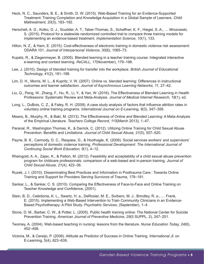- Heck, N. C., Saunders, B. E., & Smith, D. W. (2015). Web-Based Training for an Evidence-Supported Treatment: Training Completion and Knowledge Acquisition in a Global Sample of Learners. *Child Maltreatment, 20*(3), 183–192.
- Herschell, A. D., Kolko, D. J., Scudder, A. T., Taber-Thomas, S., Schaffner, K. F., Hiegel, S. A., … Mrozowski, S. (2015). Protocol for a statewide randomized controlled trial to compare three training models for implementing an evidence-based treatment. *Implementation Science, 10*(1), 133.
- Hilton, N. Z., & Ham, E. (2015). Cost-effectiveness of electronic training in domestic violence risk assessment: ODARA 101. *Journal of Interpersonal Violence, 30*(6), 1065–73.
- Kupetz, R., & Ziegenmeyer, B. (2005). Blended learning in a teacher training course: Integrated interactive e-learning and contact learning. *ReCALL, 17*(November), 179–196.
- Lee, J. (2010). Design of blended training for transfer into the workplace. *British Journal of Educational Technology, 41*(2), 181–198.
- Lim, D. H., Morris, M. L., & Kupritz, V. W. (2007). Online vs. blended learning: Differences in instructional outcomes and learner satisfaction. *Journal of Asynchronous Learning Networks, 11*, 27–42.
- Liu, Q., Peng, W., Zhang, F., Hu, R., Li, Y., & Yan, W. (2016). The Effectiveness of Blended Learning in Health Professions: Systematic Review and Meta-Analysis. *Journal of Medical Internet Research, 18*(1), e2.
- Long, L., DuBois, C. Z., & Faley, R. H. (2009). A case study analysis of factors that influence attrition rates in voluntary online training programs. *International Journal on E-Learning, 8*(3), 347–359.
- Means, B., Murphy, R., & Baki, M. (2013). The Effectiveness of Online and Blended Learning: A Meta-Analysis of the Empirical Literature. *Teachers College Record, 115*(March 2013), 1–47.
- Paranal, R., Washington Thomas, K., & Derrick, C. (2012). Utilizing Online Training for Child Sexual Abuse Prevention: Benefits and Limitations. *Journal of Child Sexual Abuse, 21*(5), 507–520.
- Payne, B. K., Carmody, D. C., Respass, G., & Hoofnagle, K. (2006). Social services workers' and supervisors' perceptions of domestic violence training. *Professional Development: The International Journal of Continuing Social Work Education, 9*(1), 4–12.
- Rheingold, A. A., Zajac, K., & Patton, M. (2012). Feasibility and acceptability of a child sexual abuse prevention program for childcare professionals: comparison of a web-based and in-person training. *Journal of Child Sexual Abuse, 21*(4), 422–36.
- Ruzek, J. I. (2010). Disseminating Best Practices and Information in Posttrauma Care : Towards Online Training and Support for Providers Serving Survivors of Trauma, 179–191.
- Sankar, L., & Sankar, C. S. (2010). Comparing the Effectiveness of Face-to-Face and Online Training on Teacher Knowledge and Confidence, (2001).
- Stein, B. D., Celedonia, K. L., Swartz, H. a., DeRosier, M. E., Sorbero, M. J., Brindley, R. a., … Frank, E. (2015). Implementing a Web-Based Intervention to Train Community Clinicians in an Evidence-Based Psychotherapy: A Pilot Study. *Psychiatric Services*, (September), 1–4.
- Stone, D. M., Barber, C. W., & Potter, L. (2005). Public health training online: The National Center for Suicide Prevention Training. *American Journal of Preventive Medicine, 29*(5 SUPPL. 2), 247–251.
- Twomey, A. (2004). Web-based teaching in nursing: lessons from the literature. *Nurse Education Today, 24*(6), 452–458.
- Victoria, M., & Cereijo, P. (2006). Attitude as Predictor of Success in Online Training. *International Jl*. on E-Learning, 5(4), 623–639.